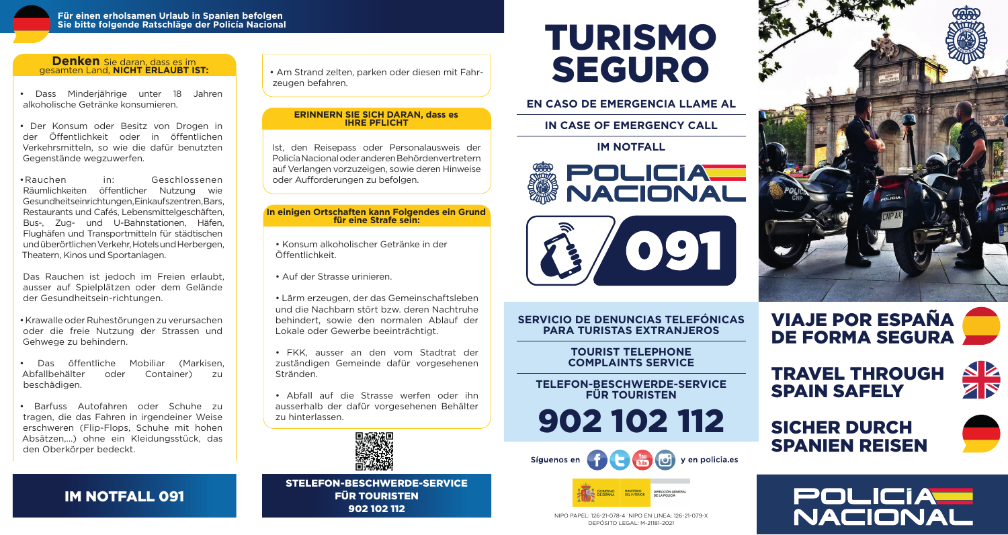

#### **Denken** Sie daran, dass es im gesamten Land, **NICHT ERLAUBT IST:**

• Dass Minderjährige unter 18 Jahren alkoholische Getränke konsumieren.

• Der Konsum oder Besitz von Drogen in der Öffentlichkeit oder in öffentlichen Verkehrsmitteln, so wie die dafür benutzten Gegenstände wegzuwerfen.

• Rauchen in: Geschlossenen Räumlichkeiten öffentlicher Nutzung wie Gesundheitseinrichtungen, Einkaufszentren, Bars, Restaurants und Cafés, Lebensmittelgeschäften, Bus-, Zug- und U-Bahnstationen, Häfen, Flughäfen und Transportmitteln für städtischen und überörtlichen Verkehr, Hotels und Herbergen, Theatern, Kinos und Sportanlagen.

Das Rauchen ist jedoch im Freien erlaubt, ausser auf Spielplätzen oder dem Gelände der Gesundheitsein-richtungen.

• Krawalle oder Ruhestörungen zu verursachen oder die freie Nutzung der Strassen und Gehwege zu behindern.

• Das öffentliche Mobiliar (Markisen, Abfallbehälter oder Container) zu beschädigen.

• Barfuss Autofahren oder Schuhe zu tragen, die das Fahren in irgendeiner Weise erschweren (Flip-Flops, Schuhe mit hohen Absätzen,...) ohne ein Kleidungsstück, das den Oberkörper bedeckt.

### IM NOTFALL 091

• Am Strand zelten, parken oder diesen mit Fahrzeugen befahren.

#### **ERINNERN SIE SICH DARAN, dass es IHRE PFLICHT**

Ist, den Reisepass oder Personalausweis der Policía Nacional oder anderen Behördenvertretern auf Verlangen vorzuzeigen, sowie deren Hinweise oder Aufforderungen zu befolgen.

#### **In einigen Ortschaften kann Folgendes ein Grund für eine Strafe sein:**

• Konsum alkoholischer Getränke in der Öffentlichkeit.

• Auf der Strasse urinieren.

• Lärm erzeugen, der das Gemeinschaftsleben und die Nachbarn stört bzw. deren Nachtruhe behindert, sowie den normalen Ablauf der Lokale oder Gewerbe beeinträchtigt.

• FKK, ausser an den vom Stadtrat der zuständigen Gemeinde dafür vorgesehenen Stränden.

• Abfall auf die Strasse werfen oder ihn ausserhalb der dafür vorgesehenen Behälter zu hinterlassen.



STELEFON-BESCHWERDE-SERVICE FÜR TOURISTEN 902 102 112

# TURISMO SEGURO

**EN CASO DE EMERGENCIA LLAME AL**

**IN CASE OF EMERGENCY CALL**

**IM NOTFALL**





**SERVICIO DE DENUNCIAS TELEFÓNICAS PARA TURISTAS EXTRANJEROS**

> **TOURIST TELEPHONE COMPLAINTS SERVICE**

**TELEFON-BESCHWERDE-SERVICE FÜR TOURISTEN**

902 102 112





NIPO PAPEL: 126-21-078-4 NIPO EN LINEA: 126-21-079-X DEPÓSITO LEGAL: M-21181-2021







SICHER DURCH SPANIEN REISEN



**NZ**